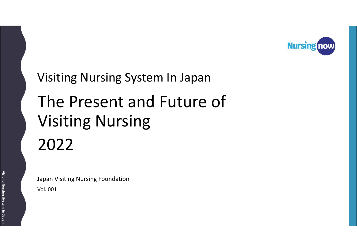

# The Present and Future of Visiting Nursing 2022 Visiting Nursing System In Japan

Vol. 001 Japan Visiting Nursing Foundation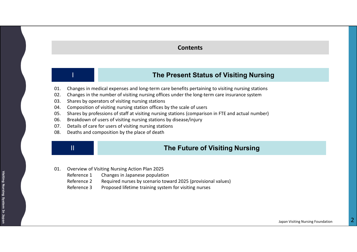#### **Contents**

# I **The Present Status of Visiting Nursing**

- 01. Changes in medical expenses and long-term care benefits pertaining to visiting nursing stations
- 02. Changes in the number of visiting nursing offices under the long-term care insurance system
- 03. Shares by operators of visiting nursing stations
- 04. Composition of visiting nursing station offices by the scale of users
- 05. Shares by professions of staff at visiting nursing stations (comparison in FTE and actual number)
- 06. Breakdown of users of visiting nursing stations by disease/injury
- 07. Details of care for users of visiting nursing stations
- 08. Deaths and composition by the place of death

# II **The Future of Visiting Nursing**

- 01. Overview of Visiting Nursing Action Plan 2025
	- Reference 1 Changes in Japanese population
	- Reference 2 Required nurses by scenario toward 2025 (provisional values)
	- Reference 3 Proposed lifetime training system for visiting nurses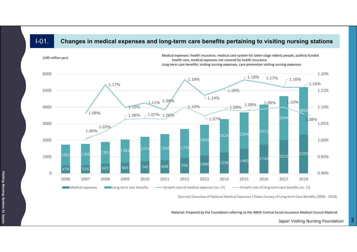### I-01. **Changes in medical expenses and long-term care benefits pertaining to visiting nursing stations**



[Source] Overview of National Medical Expenses / Status Survey of Long-term Care Benefits (2006 - 2018)

Material: Prepared by the Foundation referring to the 486th Central Social Insurance Medical Council Material

Japan Visiting Nursing Foundation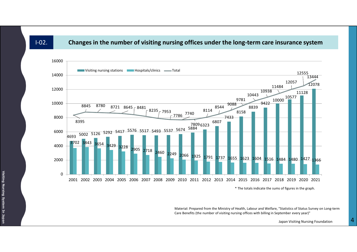#### I-02. **Changes in the number of visiting nursing offices under the long-term care insurance system**



Material: Prepared from the Ministry of Health, Labour and Welfare, "Statistics of Status Survey on Long-term Care Benefits (the number of visiting nursing offices with billing in September every year)"

Japan Visiting Nursing Foundation **4**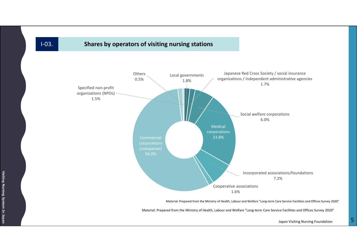## I-03. **Shares by operators of visiting nursing stations**



Material: Prepared from the Ministry of Health, Labour and Welfare "Long-term Care Service Facilities and Offices Survey 2020"

Material: Prepared from the Ministry of Health, Labour and Welfare "Long-term Care Service Facilities and Offices Survey 2020"

Japan Visiting Nursing Foundation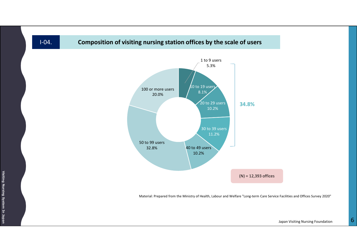

Material: Prepared from the Ministry of Health, Labour and Welfare "Long-term Care Service Facilities and Offices Survey 2020"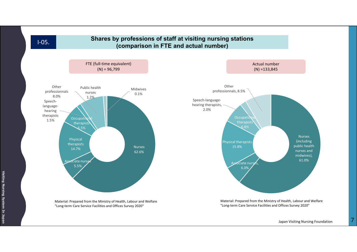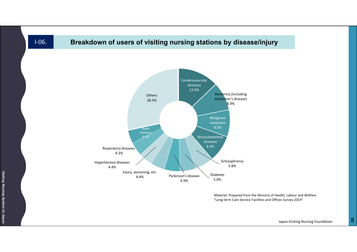# I-06. **Breakdown of users of visiting nursing stations by disease/injury**



Material: Prepared from the Ministry of Health, Labour and Welfare "Long-term Care Service Facilities and Offices Survey 2019"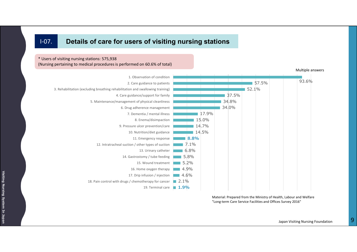## I-07. **Details of care for users of visiting nursing stations**

\* Users of visiting nursing stations: 575,938 (Nursing pertaining to medical procedures is performed on 60.6% of total)



Material: Prepared from the Ministry of Health, Labour and Welfare "Long-term Care Service Facilities and Offices Survey 2016"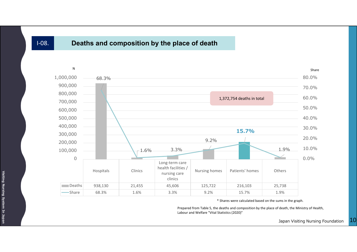# I-08. **Deaths and composition by the place of death**



\* Shares were calculated based on the sums in the graph.

Prepared from Table 5, the deaths and composition by the place of death, the Ministry of Health, Labour and Welfare "Vital Statistics (2020)"

> Japan Visiting Nursing Foundation 10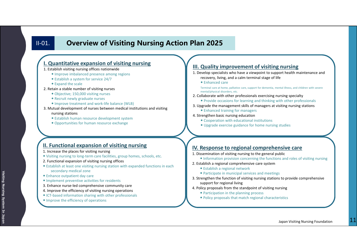# II-01. **Overview of Visiting Nursing Action Plan 2025**

#### **I. Quantitative expansion of visiting nursing**

#### 1. Establish visiting nursing offices nationwide

- Improve imbalanced presence among regions
- Establish a system for service 24/7
- Expand the scale
- 2. Retain a stable number of visiting nurses
	- Objective; 150,000 visiting nurses
	- Recruit newly graduate nurses
	- Improve treatment and work-life balance (WLB)
- 3. Mutual development of nurses between medical institutions and visiting nursing stations
	- Establish human resource development system
	- Opportunities for human resource exchange

#### **II. Functional expansion of visiting nursing**

- 1. Increase the places for visiting nursing
- Visiting nursing to long-term care facilities, group homes, schools, etc.
- 2. Functional expansion of visiting nursing offices
- Establish at least one visiting nursing station with expanded functions in each secondary medical zone
- Enhance outpatient day care
- Implement preventive activities for residents
- 3. Enhance nurse-led comprehensive community care
- 4. Improve the efficiency of visiting nursing operations
- ICT-based information sharing with other professionals
- Improve the efficiency of operations

#### **III. Quality improvement of visiting nursing**

- 1. Develop specialists who have a viewpoint to support health maintenance and recovery, living, and a calm terminal stage of life
	- Enhanced care

Terminal care at home, palliative care, support for dementia, mental illness, and children with severe mental/physical disorders, etc.

- 2. Collaborate with other professionals exercising nursing specialty
	- Provide occasions for learning and thinking with other professionals
- 3. Upgrade the management skills of managers at visiting nursing stations
	- Enhanced training for managers
- 4. Strengthen basic nursing education
	- Cooperation with educational institutions
	- Upgrade exercise guidance for home nursing studies

#### **IV. Response to regional comprehensive care**

- 1. Dissemination of visiting nursing to the general public
	- Information provision concerning the functions and roles of visiting nursing
- 2. Establish a regional comprehensive care system
	- Establish a regional network
	- Participate in municipal services and meetings
- 3. Strengthen the function of visiting nursing stations to provide comprehensive support for regional living
- 4. Policy proposals from the standpoint of visiting nursing
	- Participation in the planning process
	- Policy proposals that match regional characteristics

**Visiting**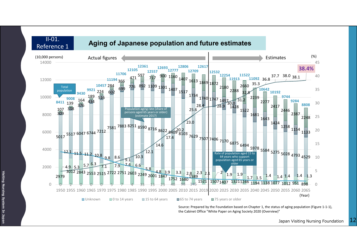

**Visiting Nursing System In Japan**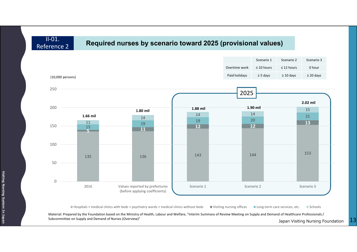II-01. Reference 2

# **Required nurses by scenario toward 2025 (provisional values)**



■ Hospitals + medical clinics with beds + psychiatry wards + medical clinics without beds ■ Visiting nursing offices ■ Long-term care services, etc. ■ Schools

Material: Prepared by the Foundation based on the Ministry of Health, Labour and Welfare, "Interim Summary of Review Meeting on Supply and Demand of Healthcare Professionals/ Subcommittee on Supply and Demand of Nurses (Overview)"

Japan Visiting Nursing Foundation